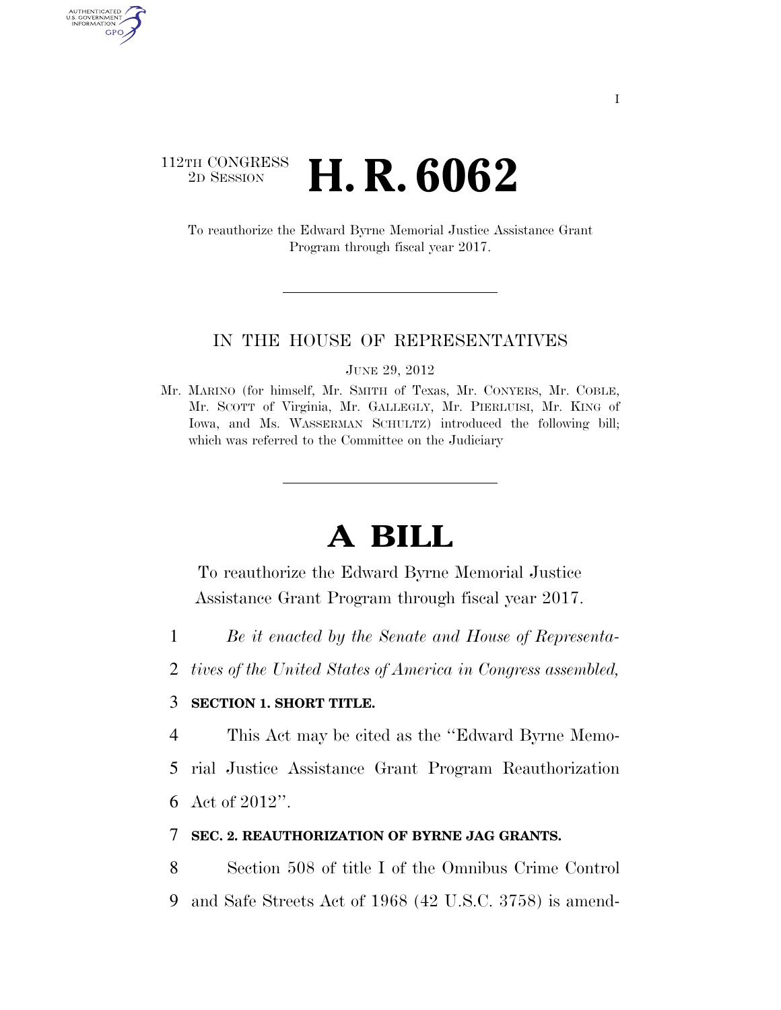## 112TH CONGRESS <sup>2D SESSION</sup> **H. R. 6062**

AUTHENTICATED U.S. GOVERNMENT GPO

> To reauthorize the Edward Byrne Memorial Justice Assistance Grant Program through fiscal year 2017.

#### IN THE HOUSE OF REPRESENTATIVES

JUNE 29, 2012

Mr. MARINO (for himself, Mr. SMITH of Texas, Mr. CONYERS, Mr. COBLE, Mr. SCOTT of Virginia, Mr. GALLEGLY, Mr. PIERLUISI, Mr. KING of Iowa, and Ms. WASSERMAN SCHULTZ) introduced the following bill; which was referred to the Committee on the Judiciary

# **A BILL**

To reauthorize the Edward Byrne Memorial Justice Assistance Grant Program through fiscal year 2017.

- 1 *Be it enacted by the Senate and House of Representa-*
- 2 *tives of the United States of America in Congress assembled,*

### 3 **SECTION 1. SHORT TITLE.**

4 This Act may be cited as the ''Edward Byrne Memo-

5 rial Justice Assistance Grant Program Reauthorization

6 Act of 2012''.

### 7 **SEC. 2. REAUTHORIZATION OF BYRNE JAG GRANTS.**

8 Section 508 of title I of the Omnibus Crime Control 9 and Safe Streets Act of 1968 (42 U.S.C. 3758) is amend